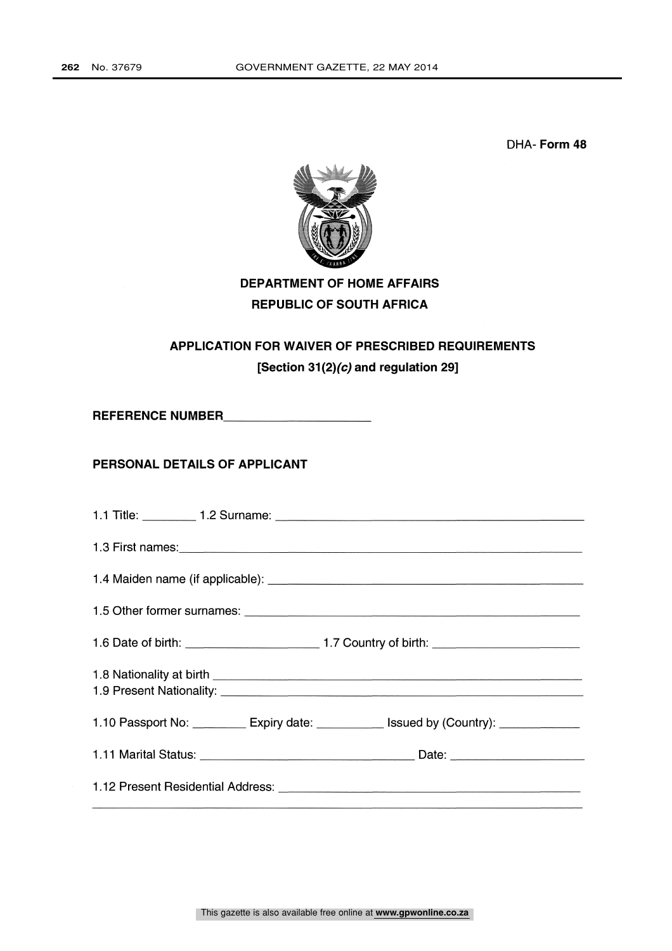DHA- Form 48



# DEPARTMENT OF HOME AFFAIRS REPUBLIC OF SOUTH AFRICA

# APPLICATION FOR WAIVER OF PRESCRIBED REQUIREMENTS [Section 31(2)( $c$ ) and regulation 29]

REFERENCE NUMBER

### PERSONAL DETAILS OF APPLICANT

| 1.10 Passport No: ___________ Expiry date: _____________ Issued by (Country): ______________ |
|----------------------------------------------------------------------------------------------|
|                                                                                              |
|                                                                                              |
|                                                                                              |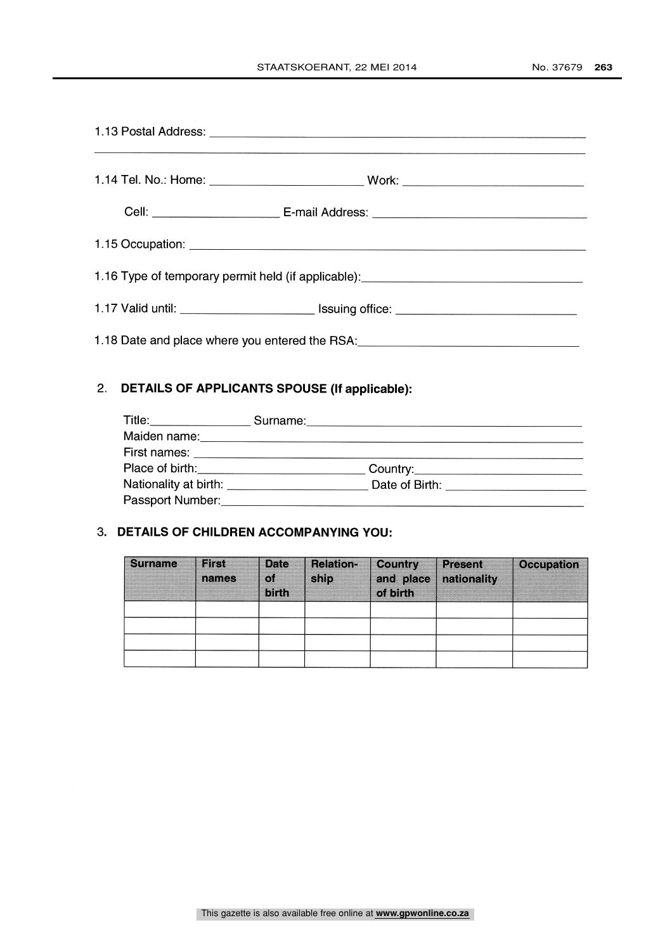| 1.16 Type of temporary permit held (if applicable): _____________________________ |  |
|-----------------------------------------------------------------------------------|--|
| 1.17 Valid until: ____________________________ Issuing office: __________________ |  |
| 1.18 Date and place where you entered the RSA: _________________________________  |  |

## 2. DETAILS OF APPLICANTS SPOUSE (If applicable):

| Title:______________                                                                                             |                                      |  |
|------------------------------------------------------------------------------------------------------------------|--------------------------------------|--|
| Maiden name:                                                                                                     |                                      |  |
| First names: Universe and Services and Services and Services and Services and Services and Services and Services |                                      |  |
|                                                                                                                  | Country:____________________________ |  |
| Nationality at birth: National Communisty Property and American Communisty Property and American Communisty Pr   | Date of Birth: ________________      |  |
| Passport Number:                                                                                                 |                                      |  |

## 3. DETAILS OF CHILDREN ACCOMPANYING YOU:

| <b>Surname</b> | <b>First</b><br>names | <b>Date</b><br>`of | <b>Relation-</b><br>ship | <b>Country</b><br>and place | <b>Present</b><br>nationality | <b>Occupation</b> |
|----------------|-----------------------|--------------------|--------------------------|-----------------------------|-------------------------------|-------------------|
|                |                       | birth              |                          | of birth                    |                               |                   |
|                |                       |                    |                          |                             |                               |                   |
|                |                       |                    |                          |                             |                               |                   |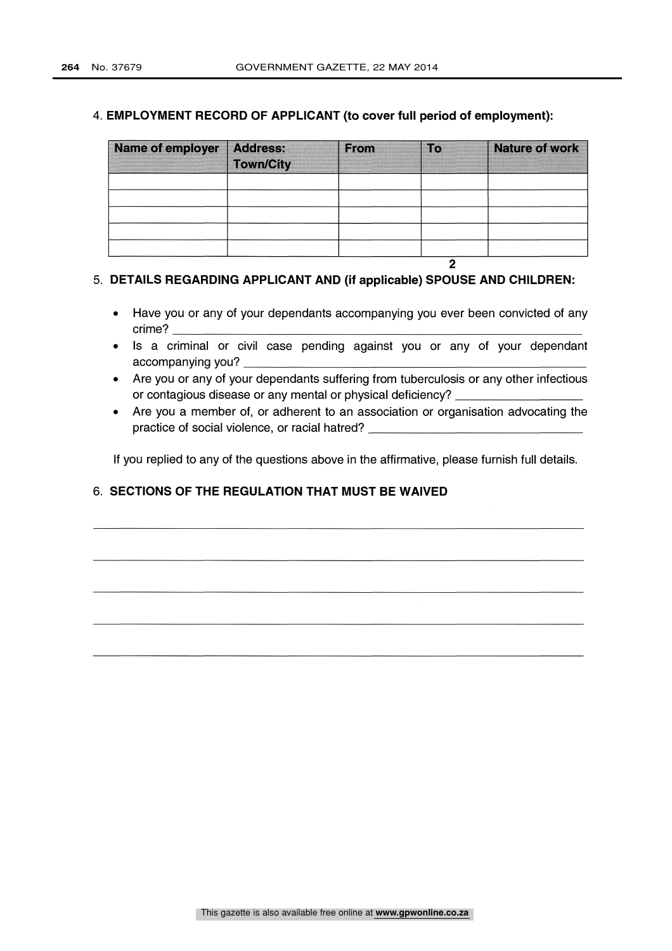#### 4. EMPLOYMENT RECORD OF APPLICANT (to cover full period of employment):

| Name of employer | <b>Address:</b>  | <b>From</b> | $\blacksquare$ | <b>Nature of work</b> |
|------------------|------------------|-------------|----------------|-----------------------|
|                  | <b>Town/City</b> |             |                |                       |
|                  |                  |             |                |                       |
|                  |                  |             |                |                       |
|                  |                  |             |                |                       |
|                  |                  |             |                |                       |
|                  |                  |             |                |                       |

#### 5. DETAILS REGARDING APPLICANT AND (if applicable) SPOUSE AND CHILDREN:

Have you or any of your dependants accompanying you ever been convicted of any crime?

2

- Is a criminal or civil case pending against you or any of your dependant accompanying you?
- Are you or any of your dependants suffering from tuberculosis or any other infectious or contagious disease or any mental or physical deficiency?
- Are you a member of, or adherent to an association or organisation advocating the practice of social violence, or racial hatred?

If you replied to any of the questions above in the affirmative, please furnish full details.

### 6. SECTIONS OF THE REGULATION THAT MUST BE WAIVED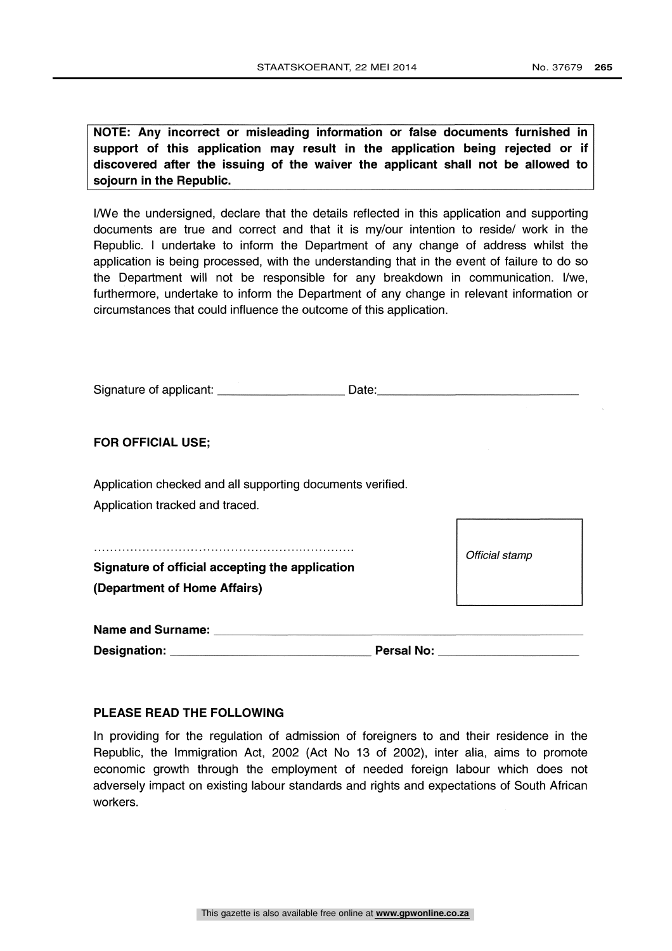NOTE: Any incorrect or misleading information or false documents furnished in support of this application may result in the application being rejected or if discovered after the issuing of the waiver the applicant shall not be allowed to sojourn in the Republic.

I/We the undersigned, declare that the details reflected in this application and supporting documents are true and correct and that it is my/our intention to reside/ work in the Republic. <sup>I</sup> undertake to inform the Department of any change of address whilst the application is being processed, with the understanding that in the event of failure to do so the Department will not be responsible for any breakdown in communication. I/we, furthermore, undertake to inform the Department of any change in relevant information or circumstances that could influence the outcome of this application.

|                                                                                                                | Date: Date:                         |
|----------------------------------------------------------------------------------------------------------------|-------------------------------------|
| <b>FOR OFFICIAL USE;</b>                                                                                       |                                     |
|                                                                                                                |                                     |
| Application checked and all supporting documents verified.<br>Application tracked and traced.                  |                                     |
| Signature of official accepting the application<br>(Department of Home Affairs)                                | Official stamp                      |
| Name and Surname: Name and Surname and Surname and Surname and Surname and Surname and Surname and Surname and | Persal No: ________________________ |

#### PLEASE READ THE FOLLOWING

In providing for the regulation of admission of foreigners to and their residence in the Republic, the Immigration Act, 2002 (Act No 13 of 2002), inter alia, aims to promote economic growth through the employment of needed foreign labour which does not adversely impact on existing labour standards and rights and expectations of South African workers.